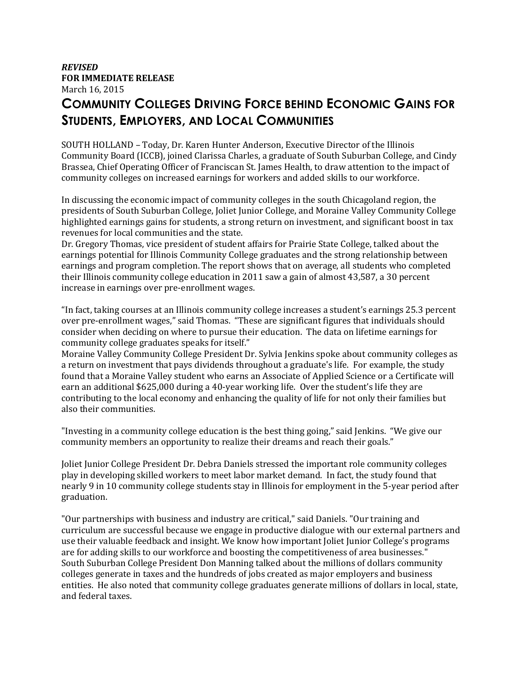## *REVISED*  **FOR IMMEDIATE RELEASE**  March 16, 2015

## **COMMUNITY COLLEGES DRIVING FORCE BEHIND ECONOMIC GAINS FOR STUDENTS, EMPLOYERS, AND LOCAL COMMUNITIES**

SOUTH HOLLAND – Today, Dr. Karen Hunter Anderson, Executive Director of the Illinois Community Board (ICCB), joined Clarissa Charles, a graduate of South Suburban College, and Cindy Brassea, Chief Operating Officer of Franciscan St. James Health, to draw attention to the impact of community colleges on increased earnings for workers and added skills to our workforce.

In discussing the economic impact of community colleges in the south Chicagoland region, the presidents of South Suburban College, Joliet Junior College, and Moraine Valley Community College highlighted earnings gains for students, a strong return on investment, and significant boost in tax revenues for local communities and the state.

Dr. Gregory Thomas, vice president of student affairs for Prairie State College, talked about the earnings potential for Illinois Community College graduates and the strong relationship between earnings and program completion. The report shows that on average, all students who completed their Illinois community college education in 2011 saw a gain of almost 43,587, a 30 percent increase in earnings over pre-enrollment wages.

"In fact, taking courses at an Illinois community college increases a student's earnings 25.3 percent over pre-enrollment wages," said Thomas. "These are significant figures that individuals should consider when deciding on where to pursue their education. The data on lifetime earnings for community college graduates speaks for itself."

Moraine Valley Community College President Dr. Sylvia Jenkins spoke about community colleges as a return on investment that pays dividends throughout a graduate's life. For example, the study found that a Moraine Valley student who earns an Associate of Applied Science or a Certificate will earn an additional \$625,000 during a 40-year working life. Over the student's life they are contributing to the local economy and enhancing the quality of life for not only their families but also their communities.

"Investing in a community college education is the best thing going," said Jenkins. "We give our community members an opportunity to realize their dreams and reach their goals."

Joliet Junior College President Dr. Debra Daniels stressed the important role community colleges play in developing skilled workers to meet labor market demand. In fact, the study found that nearly 9 in 10 community college students stay in Illinois for employment in the 5-year period after graduation.

"Our partnerships with business and industry are critical," said Daniels. "Our training and curriculum are successful because we engage in productive dialogue with our external partners and use their valuable feedback and insight. We know how important Joliet Junior College's programs are for adding skills to our workforce and boosting the competitiveness of area businesses." South Suburban College President Don Manning talked about the millions of dollars community colleges generate in taxes and the hundreds of jobs created as major employers and business entities. He also noted that community college graduates generate millions of dollars in local, state, and federal taxes.